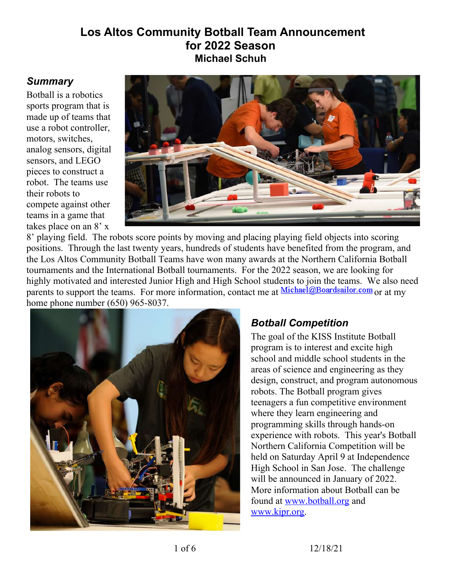#### **Los Altos Community Botball Team Announcement for 2022 Season Michael Schuh**

#### *Summary*

Botball is a robotics sports program that is made up of teams that use a robot controller, motors, switches, analog sensors, digital sensors, and LEGO pieces to construct a robot. The teams use their robots to compete against other teams in a game that takes place on an 8' x

<span id="page-0-0"></span>

8' playing field. The robots score points by moving and placing playing field objects into scoring positions. Through the last twenty years, hundreds of students have benefited from the program, and the Los Altos Community Botball Teams have won many awards at the Northern California Botball tournaments and the International Botball tournaments. For the [2022](#page-0-0) season, we are looking for highly motivated and interested Junior High and High School students to join the teams. We also need parents to support the teams. For more information, contact me at Michael@Boardsailor.com or at my home phone number (650) 965-8037.



## *Botball Competition*

The goal of the KISS Institute Botball program is to interest and excite high school and middle school students in the areas of science and engineering as they design, construct, and program autonomous robots. The Botball program gives teenagers a fun competitive environment where they learn engineering and programming skills through hands-on experience with robots. This year's Botball Northern California Competition will be held on Saturday [April 9](#page-4-1) at [Independence](#page-4-0)  [High School in San Jose.](#page-4-0) The challenge will be announced in January of [2022.](#page-0-0) More information about Botball can be found at [www.botball.org](http://www.botball.org/) and [www.kipr.org.](http://www.kipr.org/)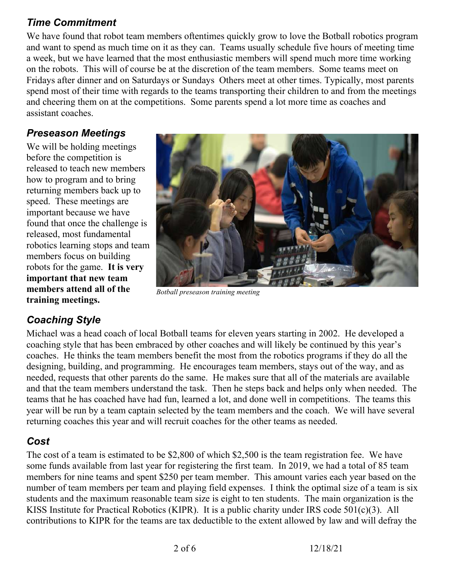### *Time Commitment*

We have found that robot team members oftentimes quickly grow to love the Botball robotics program and want to spend as much time on it as they can. Teams usually schedule five hours of meeting time a week, but we have learned that the most enthusiastic members will spend much more time working on the robots. This will of course be at the discretion of the team members. Some teams meet on Fridays after dinner and on Saturdays or Sundays Others meet at other times. Typically, most parents spend most of their time with regards to the teams transporting their children to and from the meetings and cheering them on at the competitions. Some parents spend a lot more time as coaches and assistant coaches.

## *Preseason Meetings*

We will be holding meetings before the competition is released to teach new members how to program and to bring returning members back up to speed. These meetings are important because we have found that once the challenge is released, most fundamental robotics learning stops and team members focus on building robots for the game. **It is very important that new team members attend all of the training meetings.**



*Botball preseason training meeting*

# *Coaching Style*

Michael was a head coach of local Botball teams for eleven years starting in 2002. He developed a coaching style that has been embraced by other coaches and will likely be continued by this year's coaches. He thinks the team members benefit the most from the robotics programs if they do all the designing, building, and programming. He encourages team members, stays out of the way, and as needed, requests that other parents do the same. He makes sure that all of the materials are available and that the team members understand the task. Then he steps back and helps only when needed. The teams that he has coached have had fun, learned a lot, and done well in competitions. The teams this year will be run by a team captain selected by the team members and the coach. We will have several returning coaches this year and will recruit coaches for the other teams as needed.

# *Cost*

The cost of a team is estimated to be \$2,800 of which \$2,500 is the team registration fee. We have some funds available from last year for registering the first team. In 2019, we had a total of 85 team members for nine teams and spent \$250 per team member. This amount varies each year based on the number of team members per team and playing field expenses. I think the optimal size of a team is six students and the maximum reasonable team size is eight to ten students. The main organization is the KISS Institute for Practical Robotics (KIPR). It is a public charity under IRS code 501(c)(3). All contributions to KIPR for the teams are tax deductible to the extent allowed by law and will defray the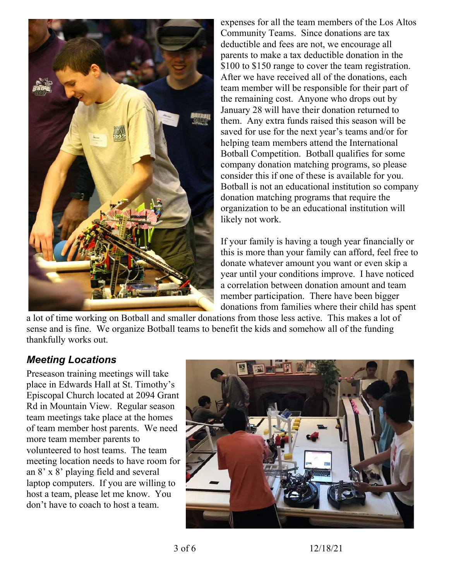

<span id="page-2-1"></span><span id="page-2-0"></span>expenses for all the team members of the Los Altos Community Teams. Since donations are tax deductible and fees are not, we encourage all parents to make a tax deductible donation in the \$100 to \$150 range to cover the team registration. After we have received all of the donations, each team member will be responsible for their part of the remaining cost. Anyone who drops out b[y](#page-4-2) [January 28](#page-4-2) will have their donation returned to them. Any extra funds raised this season will be saved for use for the next year's teams and/or for helping team members attend the International Botball Competition. Botball qualifies for some company donation matching programs, so please consider this if one of these is available for you. Botball is not an educational institution so company donation matching programs that require the organization to be an educational institution will likely not work.

If your family is having a tough year financially or this is more than your family can afford, feel free to donate whatever amount you want or even skip a year until your conditions improve. I have noticed a correlation between donation amount and team member participation. There have been bigger donations from families where their child has spent

a lot of time working on Botball and smaller donations from those less active. This makes a lot of sense and is fine. We organize Botball teams to benefit the kids and somehow all of the funding thankfully works out.

#### *Meeting Locations*

Preseason training meetings will take place in Edwards Hall at St. Timothy's Episcopal Church located at 2094 Grant Rd in Mountain View. Regular season team meetings take place at the homes of team member host parents. We need more team member parents to volunteered to host teams. The team meeting location needs to have room for an 8' x 8' playing field and several laptop computers. If you are willing to host a team, please let me know. You don't have to coach to host a team.



3 of 6 12/18/21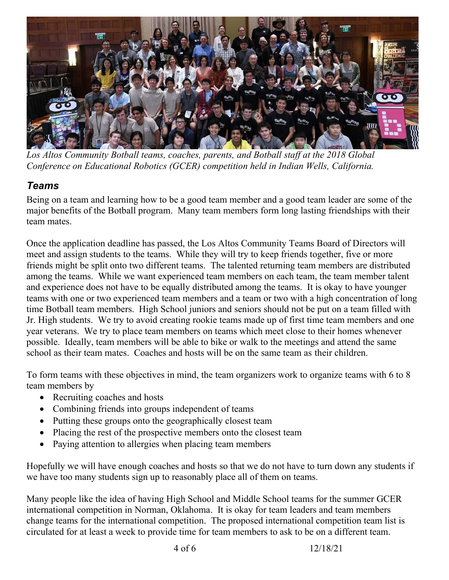

*Los Altos Community Botball teams, coaches, parents, and Botball staff at the 2018 Global Conference on Educational Robotics (GCER) competition held in Indian Wells, California.*

### *Teams*

Being on a team and learning how to be a good team member and a good team leader are some of the major benefits of the Botball program. Many team members form long lasting friendships with their team mates.

Once the application deadline has passed, the Los Altos Community Teams Board of Directors will meet and assign students to the teams. While they will try to keep friends together, five or more friends might be split onto two different teams. The talented returning team members are distributed among the teams. While we want experienced team members on each team, the team member talent and experience does not have to be equally distributed among the teams. It is okay to have younger teams with one or two experienced team members and a team or two with a high concentration of long time Botball team members. High School juniors and seniors should not be put on a team filled with Jr. High students. We try to avoid creating rookie teams made up of first time team members and one year veterans. We try to place team members on teams which meet close to their homes whenever possible. Ideally, team members will be able to bike or walk to the meetings and attend the same school as their team mates. Coaches and hosts will be on the same team as their children.

To form teams with these objectives in mind, the team organizers work to organize teams with 6 to 8 team members by

- Recruiting coaches and hosts
- Combining friends into groups independent of teams
- Putting these groups onto the geographically closest team
- Placing the rest of the prospective members onto the closest team
- Paying attention to allergies when placing team members

Hopefully we will have enough coaches and hosts so that we do not have to turn down any students if we have too many students sign up to reasonably place all of them on teams.

Many people like the idea of having High School and Middle School teams for the summer GCER international competition in [Norman, Oklahoma.](#page-4-3) It is okay for team leaders and team members change teams for the international competition. The proposed international competition team list is circulated for at least a week to provide time for team members to ask to be on a different team.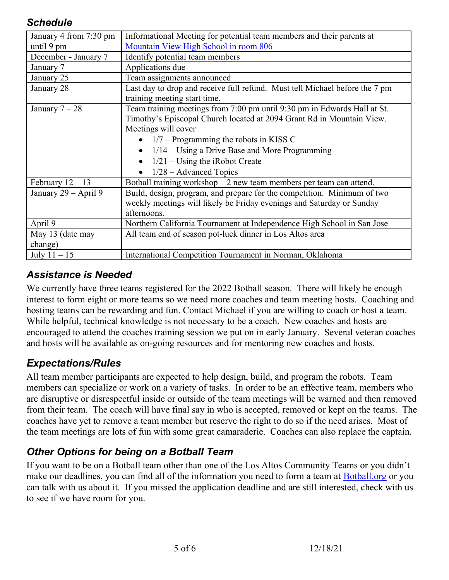#### *Schedule*

<span id="page-4-5"></span><span id="page-4-4"></span><span id="page-4-2"></span>

| January 4 from 7:30 pm | Informational Meeting for potential team members and their parents at       |
|------------------------|-----------------------------------------------------------------------------|
|                        |                                                                             |
| until 9 pm             | Mountain View High School in room 806                                       |
| December - January 7   | Identify potential team members                                             |
| January 7              | Applications due                                                            |
| January 25             | Team assignments announced                                                  |
| January 28             | Last day to drop and receive full refund. Must tell Michael before the 7 pm |
|                        | training meeting start time.                                                |
| January $7-28$         | Team training meetings from 7:00 pm until 9:30 pm in Edwards Hall at St.    |
|                        | Timothy's Episcopal Church located at 2094 Grant Rd in Mountain View.       |
|                        | Meetings will cover                                                         |
|                        | • $1/7$ – Programming the robots in KISS C                                  |
|                        | $1/14$ – Using a Drive Base and More Programming                            |
|                        | $1/21$ – Using the iRobot Create                                            |
|                        | $1/28$ – Advanced Topics                                                    |
| February $12 - 13$     | Botball training workshop $-2$ new team members per team can attend.        |
| January 29 – April 9   | Build, design, program, and prepare for the competition. Minimum of two     |
|                        | weekly meetings will likely be Friday evenings and Saturday or Sunday       |
|                        | afternoons.                                                                 |
| April 9                | Northern California Tournament at Independence High School in San Jose      |
| May 13 (date may       | All team end of season pot-luck dinner in Los Altos area                    |
| change)                |                                                                             |
| July $11 - 15$         | International Competition Tournament in Norman, Oklahoma                    |

### <span id="page-4-3"></span><span id="page-4-1"></span><span id="page-4-0"></span>*Assistance is Needed*

We currently have three teams registered for the [2022](#page-0-0) Botball season. There will likely be enough interest to form eight or more teams so we need more coaches and team meeting hosts. Coaching and hosting teams can be rewarding and fun. Contact Michael if you are willing to coach or host a team. While helpful, technical knowledge is not necessary to be a coach. New coaches and hosts are encouraged to attend the coaches training session we put on in early January. Several veteran coaches and hosts will be available as on-going resources and for mentoring new coaches and hosts.

## *Expectations/Rules*

All team member participants are expected to help design, build, and program the robots. Team members can specialize or work on a variety of tasks. In order to be an effective team, members who are disruptive or disrespectful inside or outside of the team meetings will be warned and then removed from their team. The coach will have final say in who is accepted, removed or kept on the teams. The coaches have yet to remove a team member but reserve the right to do so if the need arises. Most of the team meetings are lots of fun with some great camaraderie. Coaches can also replace the captain.

## *Other Options for being on a Botball Team*

If you want to be on a Botball team other than one of the Los Altos Community Teams or you didn't make our deadlines, you can find all of the information you need to form a team at [Botball.org](http://botball.org/) or you can talk with us about it. If you missed the application deadline and are still interested, check with us to see if we have room for you.